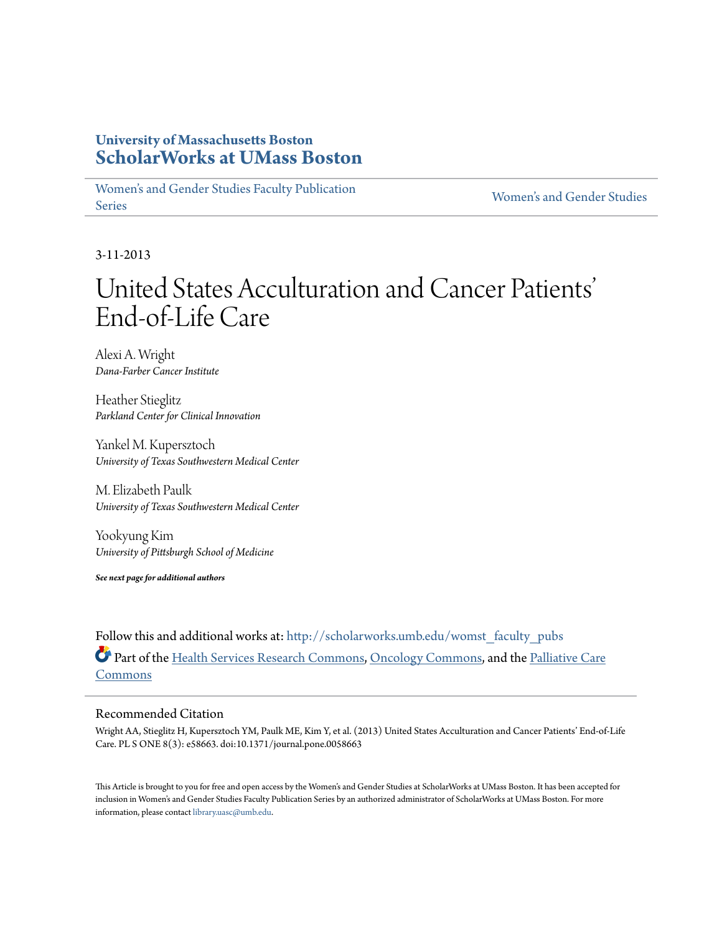# **University of Massachusetts Boston [ScholarWorks at UMass Boston](http://scholarworks.umb.edu?utm_source=scholarworks.umb.edu%2Fwomst_faculty_pubs%2F10&utm_medium=PDF&utm_campaign=PDFCoverPages)**

[Women's and Gender Studies Faculty Publication](http://scholarworks.umb.edu/womst_faculty_pubs?utm_source=scholarworks.umb.edu%2Fwomst_faculty_pubs%2F10&utm_medium=PDF&utm_campaign=PDFCoverPages) [Series](http://scholarworks.umb.edu/womst_faculty_pubs?utm_source=scholarworks.umb.edu%2Fwomst_faculty_pubs%2F10&utm_medium=PDF&utm_campaign=PDFCoverPages)

[Women's and Gender Studies](http://scholarworks.umb.edu/womst?utm_source=scholarworks.umb.edu%2Fwomst_faculty_pubs%2F10&utm_medium=PDF&utm_campaign=PDFCoverPages)

3-11-2013

# United States Acculturation and Cancer Patients ' End-of-Life Care

Alexi A. Wright *Dana-Farber Cancer Institute*

Heather Stieglitz *Parkland Center for Clinical Innovation*

Yankel M. Kupersztoch *University of Texas Southwestern Medical Center*

M. Elizabeth Paulk *University of Texas Southwestern Medical Center*

Yookyung Kim *University of Pittsburgh School of Medicine*

*See next page for additional authors*

Follow this and additional works at: [http://scholarworks.umb.edu/womst\\_faculty\\_pubs](http://scholarworks.umb.edu/womst_faculty_pubs?utm_source=scholarworks.umb.edu%2Fwomst_faculty_pubs%2F10&utm_medium=PDF&utm_campaign=PDFCoverPages) Part of the [Health Services Research Commons](http://network.bepress.com/hgg/discipline/816?utm_source=scholarworks.umb.edu%2Fwomst_faculty_pubs%2F10&utm_medium=PDF&utm_campaign=PDFCoverPages), [Oncology Commons,](http://network.bepress.com/hgg/discipline/694?utm_source=scholarworks.umb.edu%2Fwomst_faculty_pubs%2F10&utm_medium=PDF&utm_campaign=PDFCoverPages) and the [Palliative Care](http://network.bepress.com/hgg/discipline/1265?utm_source=scholarworks.umb.edu%2Fwomst_faculty_pubs%2F10&utm_medium=PDF&utm_campaign=PDFCoverPages) [Commons](http://network.bepress.com/hgg/discipline/1265?utm_source=scholarworks.umb.edu%2Fwomst_faculty_pubs%2F10&utm_medium=PDF&utm_campaign=PDFCoverPages)

# Recommended Citation

Wright AA, Stieglitz H, Kupersztoch YM, Paulk ME, Kim Y, et al. (2013) United States Acculturation and Cancer Patients' End-of-Life Care. PL S ONE 8(3): e58663. doi:10.1371/journal.pone.0058663

This Article is brought to you for free and open access by the Women's and Gender Studies at ScholarWorks at UMass Boston. It has been accepted for inclusion in Women's and Gender Studies Faculty Publication Series by an authorized administrator of ScholarWorks at UMass Boston. For more information, please contact [library.uasc@umb.edu](mailto:library.uasc@umb.edu).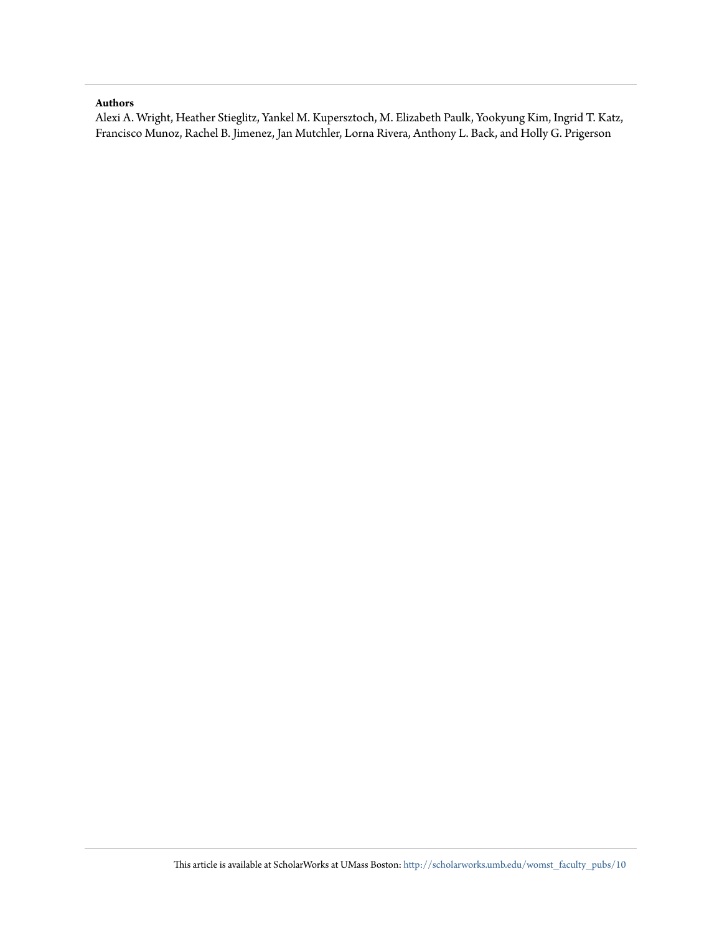# **Authors**

Alexi A. Wright, Heather Stieglitz, Yankel M. Kupersztoch, M. Elizabeth Paulk, Yookyung Kim, Ingrid T. Katz, Francisco Munoz, Rachel B. Jimenez, Jan Mutchler, Lorna Rivera, Anthony L. Back, and Holly G. Prigerson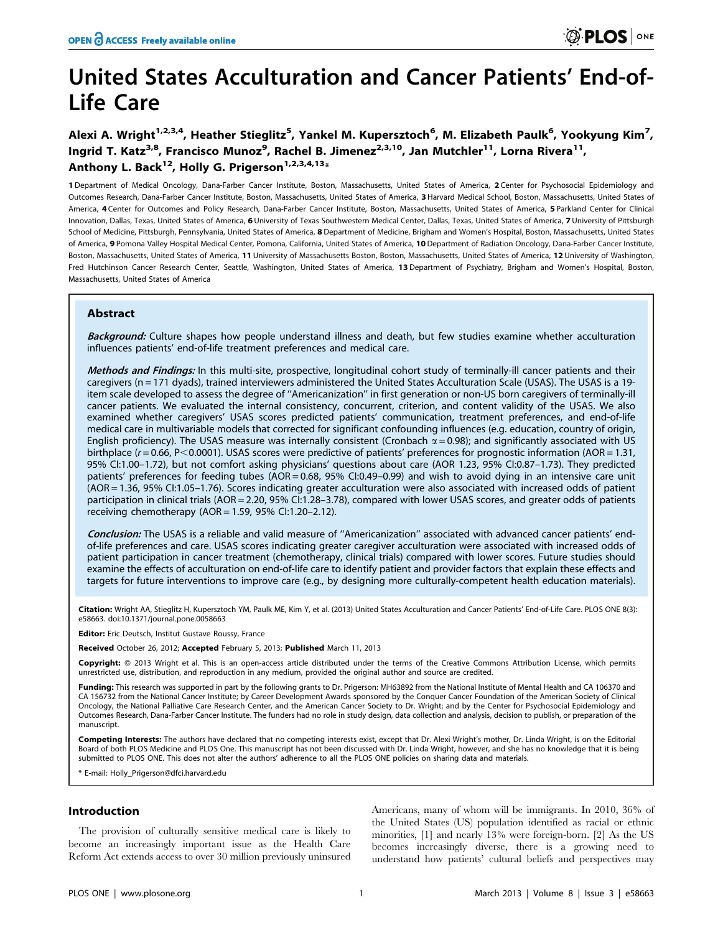# United States Acculturation and Cancer Patients' End-of-Life Care

Alexi A. Wright<sup>1,2,3,4</sup>, Heather Stieglitz<sup>5</sup>, Yankel M. Kupersztoch<sup>6</sup>, M. Elizabeth Paulk<sup>6</sup>, Yookyung Kim<sup>7</sup>, Ingrid T. Katz<sup>3,8</sup>, Francisco Munoz<sup>9</sup>, Rachel B. Jimenez<sup>2,3,10</sup>, Jan Mutchler<sup>11</sup>, Lorna Rivera<sup>11</sup>, Anthony L. Back<sup>12</sup>, Holly G. Prigerson<sup>1,2,3,4,13</sup>\*

1 Department of Medical Oncology, Dana-Farber Cancer Institute, Boston, Massachusetts, United States of America, 2 Center for Psychosocial Epidemiology and Outcomes Research, Dana-Farber Cancer Institute, Boston, Massachusetts, United States of America, 3Harvard Medical School, Boston, Massachusetts, United States of America, 4 Center for Outcomes and Policy Research, Dana-Farber Cancer Institute, Boston, Massachusetts, United States of America, 5 Parkland Center for Clinical Innovation, Dallas, Texas, United States of America, 6 University of Texas Southwestern Medical Center, Dallas, Texas, United States of America, 7 University of Pittsburgh School of Medicine, Pittsburgh, Pennsylvania, United States of America, 8 Department of Medicine, Brigham and Women's Hospital, Boston, Massachusetts, United States of America, 9 Pomona Valley Hospital Medical Center, Pomona, California, United States of America, 10 Department of Radiation Oncology, Dana-Farber Cancer Institute, Boston, Massachusetts, United States of America, 11 University of Massachusetts Boston, Boston, Massachusetts, United States of America, 12 University of Washington, Fred Hutchinson Cancer Research Center, Seattle, Washington, United States of America, 13 Department of Psychiatry, Brigham and Women's Hospital, Boston, Massachusetts, United States of America

# Abstract

Background: Culture shapes how people understand illness and death, but few studies examine whether acculturation influences patients' end-of-life treatment preferences and medical care.

Methods and Findings: In this multi-site, prospective, longitudinal cohort study of terminally-ill cancer patients and their caregivers (n = 171 dyads), trained interviewers administered the United States Acculturation Scale (USAS). The USAS is a 19item scale developed to assess the degree of ''Americanization'' in first generation or non-US born caregivers of terminally-ill cancer patients. We evaluated the internal consistency, concurrent, criterion, and content validity of the USAS. We also examined whether caregivers' USAS scores predicted patients' communication, treatment preferences, and end-of-life medical care in multivariable models that corrected for significant confounding influences (e.g. education, country of origin, English proficiency). The USAS measure was internally consistent (Cronbach  $\alpha$  = 0.98); and significantly associated with US birthplace (r = 0.66, P<0.0001). USAS scores were predictive of patients' preferences for prognostic information (AOR = 1.31, 95% CI:1.00–1.72), but not comfort asking physicians' questions about care (AOR 1.23, 95% CI:0.87–1.73). They predicted patients' preferences for feeding tubes (AOR = 0.68, 95% CI:0.49-0.99) and wish to avoid dying in an intensive care unit (AOR = 1.36, 95% CI:1.05–1.76). Scores indicating greater acculturation were also associated with increased odds of patient participation in clinical trials (AOR = 2.20, 95% CI:1.28–3.78), compared with lower USAS scores, and greater odds of patients receiving chemotherapy (AOR = 1.59, 95% CI:1.20–2.12).

Conclusion: The USAS is a reliable and valid measure of "Americanization" associated with advanced cancer patients' endof-life preferences and care. USAS scores indicating greater caregiver acculturation were associated with increased odds of patient participation in cancer treatment (chemotherapy, clinical trials) compared with lower scores. Future studies should examine the effects of acculturation on end-of-life care to identify patient and provider factors that explain these effects and targets for future interventions to improve care (e.g., by designing more culturally-competent health education materials).

**Citation:** Wright AA, Stieglitz H, Kupersztoch YM, Paulk ME, Kim Y, et al. (2013) United States Acculturation and Cancer Patients' End-of-Life Care. PLOS ONE 8(3): e58663. doi:10.1371/journal.pone.0058663

Editor: Eric Deutsch, Institut Gustave Roussy, France

Received October 26, 2012; Accepted February 5, 2013; Published March 11, 2013

**Copyright:** © 2013 Wright et al. This is an open-access article distributed under the terms of the Creative Commons Attribution License, which permits unrestricted use, distribution, and reproduction in any medium, provided the original author and source are credited.

Funding: This research was supported in part by the following grants to Dr. Prigerson: MH63892 from the National Institute of Mental Health and CA 106370 and CA 156732 from the National Cancer Institute; by Career Development Awards sponsored by the Conquer Cancer Foundation of the American Society of Clinical Oncology, the National Palliative Care Research Center, and the American Cancer Society to Dr. Wright; and by the Center for Psychosocial Epidemiology and Outcomes Research, Dana-Farber Cancer Institute. The funders had no role in study design, data collection and analysis, decision to publish, or preparation of the manuscript.

Competing Interests: The authors have declared that no competing interests exist, except that Dr. Alexi Wright's mother, Dr. Linda Wright, is on the Editorial Board of both PLOS Medicine and PLOS One. This manuscript has not been discussed with Dr. Linda Wright, however, and she has no knowledge that it is being submitted to PLOS ONE. This does not alter the authors' adherence to all the PLOS ONE policies on sharing data and materials.

\* E-mail: Holly\_Prigerson@dfci.harvard.edu

# Introduction

The provision of culturally sensitive medical care is likely to become an increasingly important issue as the Health Care Reform Act extends access to over 30 million previously uninsured Americans, many of whom will be immigrants. In 2010, 36% of the United States (US) population identified as racial or ethnic minorities, [1] and nearly 13% were foreign-born. [2] As the US becomes increasingly diverse, there is a growing need to understand how patients' cultural beliefs and perspectives may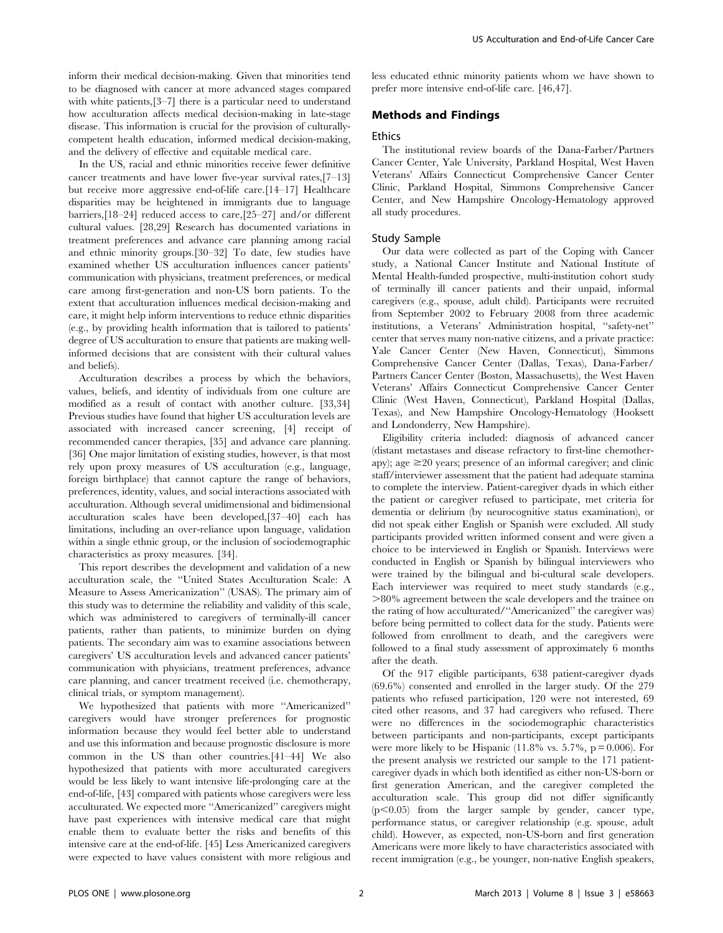inform their medical decision-making. Given that minorities tend to be diagnosed with cancer at more advanced stages compared with white patients, [3–7] there is a particular need to understand how acculturation affects medical decision-making in late-stage disease. This information is crucial for the provision of culturallycompetent health education, informed medical decision-making, and the delivery of effective and equitable medical care.

In the US, racial and ethnic minorities receive fewer definitive cancer treatments and have lower five-year survival rates,[7–13] but receive more aggressive end-of-life care.[14–17] Healthcare disparities may be heightened in immigrants due to language barriers,[18–24] reduced access to care,[25–27] and/or different cultural values. [28,29] Research has documented variations in treatment preferences and advance care planning among racial and ethnic minority groups.[30–32] To date, few studies have examined whether US acculturation influences cancer patients' communication with physicians, treatment preferences, or medical care among first-generation and non-US born patients. To the extent that acculturation influences medical decision-making and care, it might help inform interventions to reduce ethnic disparities (e.g., by providing health information that is tailored to patients' degree of US acculturation to ensure that patients are making wellinformed decisions that are consistent with their cultural values and beliefs).

Acculturation describes a process by which the behaviors, values, beliefs, and identity of individuals from one culture are modified as a result of contact with another culture. [33,34] Previous studies have found that higher US acculturation levels are associated with increased cancer screening, [4] receipt of recommended cancer therapies, [35] and advance care planning. [36] One major limitation of existing studies, however, is that most rely upon proxy measures of US acculturation (e.g., language, foreign birthplace) that cannot capture the range of behaviors, preferences, identity, values, and social interactions associated with acculturation. Although several unidimensional and bidimensional acculturation scales have been developed,[37–40] each has limitations, including an over-reliance upon language, validation within a single ethnic group, or the inclusion of sociodemographic characteristics as proxy measures. [34].

This report describes the development and validation of a new acculturation scale, the ''United States Acculturation Scale: A Measure to Assess Americanization'' (USAS). The primary aim of this study was to determine the reliability and validity of this scale, which was administered to caregivers of terminally-ill cancer patients, rather than patients, to minimize burden on dying patients. The secondary aim was to examine associations between caregivers' US acculturation levels and advanced cancer patients' communication with physicians, treatment preferences, advance care planning, and cancer treatment received (i.e. chemotherapy, clinical trials, or symptom management).

We hypothesized that patients with more ''Americanized'' caregivers would have stronger preferences for prognostic information because they would feel better able to understand and use this information and because prognostic disclosure is more common in the US than other countries.[41–44] We also hypothesized that patients with more acculturated caregivers would be less likely to want intensive life-prolonging care at the end-of-life, [43] compared with patients whose caregivers were less acculturated. We expected more ''Americanized'' caregivers might have past experiences with intensive medical care that might enable them to evaluate better the risks and benefits of this intensive care at the end-of-life. [45] Less Americanized caregivers were expected to have values consistent with more religious and less educated ethnic minority patients whom we have shown to prefer more intensive end-of-life care. [46,47].

# Methods and Findings

# Ethics

The institutional review boards of the Dana-Farber/Partners Cancer Center, Yale University, Parkland Hospital, West Haven Veterans' Affairs Connecticut Comprehensive Cancer Center Clinic, Parkland Hospital, Simmons Comprehensive Cancer Center, and New Hampshire Oncology-Hematology approved all study procedures.

#### Study Sample

Our data were collected as part of the Coping with Cancer study, a National Cancer Institute and National Institute of Mental Health-funded prospective, multi-institution cohort study of terminally ill cancer patients and their unpaid, informal caregivers (e.g., spouse, adult child). Participants were recruited from September 2002 to February 2008 from three academic institutions, a Veterans' Administration hospital, ''safety-net'' center that serves many non-native citizens, and a private practice: Yale Cancer Center (New Haven, Connecticut), Simmons Comprehensive Cancer Center (Dallas, Texas), Dana-Farber/ Partners Cancer Center (Boston, Massachusetts), the West Haven Veterans' Affairs Connecticut Comprehensive Cancer Center Clinic (West Haven, Connecticut), Parkland Hospital (Dallas, Texas), and New Hampshire Oncology-Hematology (Hooksett and Londonderry, New Hampshire).

Eligibility criteria included: diagnosis of advanced cancer (distant metastases and disease refractory to first-line chemotherapy); age  $\geq$ 20 years; presence of an informal caregiver; and clinic staff/interviewer assessment that the patient had adequate stamina to complete the interview. Patient-caregiver dyads in which either the patient or caregiver refused to participate, met criteria for dementia or delirium (by neurocognitive status examination), or did not speak either English or Spanish were excluded. All study participants provided written informed consent and were given a choice to be interviewed in English or Spanish. Interviews were conducted in English or Spanish by bilingual interviewers who were trained by the bilingual and bi-cultural scale developers. Each interviewer was required to meet study standards (e.g.,  $>80\%$  agreement between the scale developers and the trainee on the rating of how acculturated/''Americanized'' the caregiver was) before being permitted to collect data for the study. Patients were followed from enrollment to death, and the caregivers were followed to a final study assessment of approximately 6 months after the death.

Of the 917 eligible participants, 638 patient-caregiver dyads (69.6%) consented and enrolled in the larger study. Of the 279 patients who refused participation, 120 were not interested, 69 cited other reasons, and 37 had caregivers who refused. There were no differences in the sociodemographic characteristics between participants and non-participants, except participants were more likely to be Hispanic  $(11.8\% \text{ vs. } 5.7\%, \text{ p} = 0.006)$ . For the present analysis we restricted our sample to the 171 patientcaregiver dyads in which both identified as either non-US-born or first generation American, and the caregiver completed the acculturation scale. This group did not differ significantly  $(p<0.05)$  from the larger sample by gender, cancer type, performance status, or caregiver relationship (e.g. spouse, adult child). However, as expected, non-US-born and first generation Americans were more likely to have characteristics associated with recent immigration (e.g., be younger, non-native English speakers,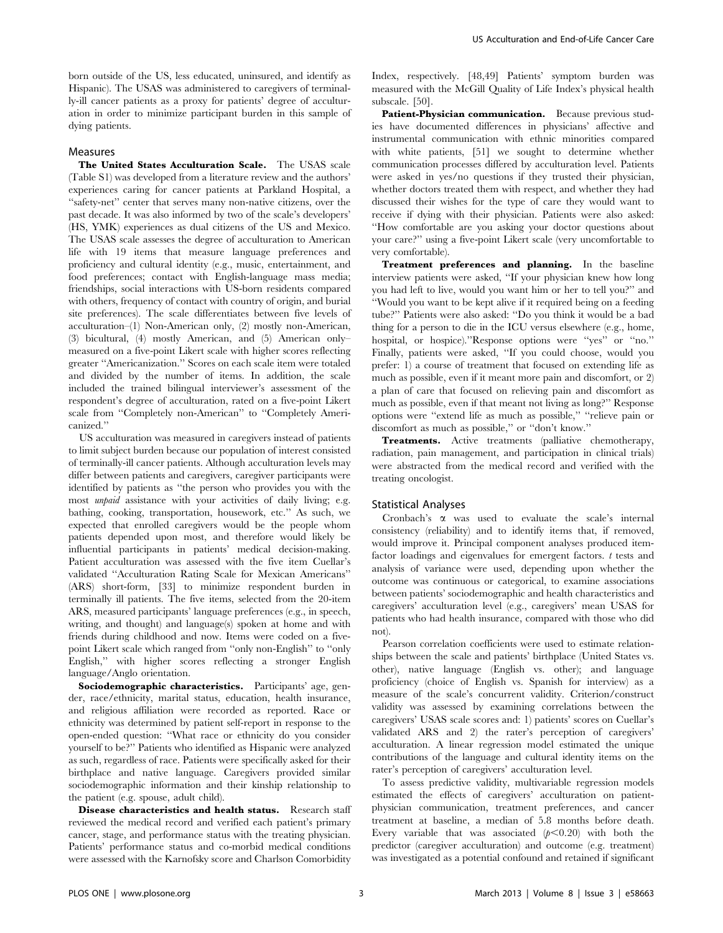born outside of the US, less educated, uninsured, and identify as Hispanic). The USAS was administered to caregivers of terminally-ill cancer patients as a proxy for patients' degree of acculturation in order to minimize participant burden in this sample of dying patients.

#### Measures

The United States Acculturation Scale. The USAS scale (Table S1) was developed from a literature review and the authors' experiences caring for cancer patients at Parkland Hospital, a ''safety-net'' center that serves many non-native citizens, over the past decade. It was also informed by two of the scale's developers' (HS, YMK) experiences as dual citizens of the US and Mexico. The USAS scale assesses the degree of acculturation to American life with 19 items that measure language preferences and proficiency and cultural identity (e.g., music, entertainment, and food preferences; contact with English-language mass media; friendships, social interactions with US-born residents compared with others, frequency of contact with country of origin, and burial site preferences). The scale differentiates between five levels of acculturation–(1) Non-American only, (2) mostly non-American, (3) bicultural, (4) mostly American, and (5) American only– measured on a five-point Likert scale with higher scores reflecting greater ''Americanization.'' Scores on each scale item were totaled and divided by the number of items. In addition, the scale included the trained bilingual interviewer's assessment of the respondent's degree of acculturation, rated on a five-point Likert scale from "Completely non-American" to "Completely Americanized.''

US acculturation was measured in caregivers instead of patients to limit subject burden because our population of interest consisted of terminally-ill cancer patients. Although acculturation levels may differ between patients and caregivers, caregiver participants were identified by patients as ''the person who provides you with the most unpaid assistance with your activities of daily living; e.g. bathing, cooking, transportation, housework, etc.'' As such, we expected that enrolled caregivers would be the people whom patients depended upon most, and therefore would likely be influential participants in patients' medical decision-making. Patient acculturation was assessed with the five item Cuellar's validated ''Acculturation Rating Scale for Mexican Americans'' (ARS) short-form, [33] to minimize respondent burden in terminally ill patients. The five items, selected from the 20-item ARS, measured participants' language preferences (e.g., in speech, writing, and thought) and language(s) spoken at home and with friends during childhood and now. Items were coded on a fivepoint Likert scale which ranged from ''only non-English'' to ''only English,'' with higher scores reflecting a stronger English language/Anglo orientation.

Sociodemographic characteristics. Participants' age, gender, race/ethnicity, marital status, education, health insurance, and religious affiliation were recorded as reported. Race or ethnicity was determined by patient self-report in response to the open-ended question: ''What race or ethnicity do you consider yourself to be?'' Patients who identified as Hispanic were analyzed as such, regardless of race. Patients were specifically asked for their birthplace and native language. Caregivers provided similar sociodemographic information and their kinship relationship to the patient (e.g. spouse, adult child).

Disease characteristics and health status. Research staff reviewed the medical record and verified each patient's primary cancer, stage, and performance status with the treating physician. Patients' performance status and co-morbid medical conditions were assessed with the Karnofsky score and Charlson Comorbidity

Index, respectively. [48,49] Patients' symptom burden was measured with the McGill Quality of Life Index's physical health subscale. [50].

Patient-Physician communication. Because previous studies have documented differences in physicians' affective and instrumental communication with ethnic minorities compared with white patients, [51] we sought to determine whether communication processes differed by acculturation level. Patients were asked in yes/no questions if they trusted their physician, whether doctors treated them with respect, and whether they had discussed their wishes for the type of care they would want to receive if dying with their physician. Patients were also asked: ''How comfortable are you asking your doctor questions about your care?'' using a five-point Likert scale (very uncomfortable to very comfortable).

Treatment preferences and planning. In the baseline interview patients were asked, ''If your physician knew how long you had left to live, would you want him or her to tell you?'' and ''Would you want to be kept alive if it required being on a feeding tube?'' Patients were also asked: ''Do you think it would be a bad thing for a person to die in the ICU versus elsewhere (e.g., home, hospital, or hospice).''Response options were ''yes'' or ''no.'' Finally, patients were asked, ''If you could choose, would you prefer: 1) a course of treatment that focused on extending life as much as possible, even if it meant more pain and discomfort, or 2) a plan of care that focused on relieving pain and discomfort as much as possible, even if that meant not living as long?'' Response options were ''extend life as much as possible,'' ''relieve pain or discomfort as much as possible,'' or ''don't know.''

Treatments. Active treatments (palliative chemotherapy, radiation, pain management, and participation in clinical trials) were abstracted from the medical record and verified with the treating oncologist.

#### Statistical Analyses

Cronbach's  $\alpha$  was used to evaluate the scale's internal consistency (reliability) and to identify items that, if removed, would improve it. Principal component analyses produced itemfactor loadings and eigenvalues for emergent factors. t tests and analysis of variance were used, depending upon whether the outcome was continuous or categorical, to examine associations between patients' sociodemographic and health characteristics and caregivers' acculturation level (e.g., caregivers' mean USAS for patients who had health insurance, compared with those who did not).

Pearson correlation coefficients were used to estimate relationships between the scale and patients' birthplace (United States vs. other), native language (English vs. other); and language proficiency (choice of English vs. Spanish for interview) as a measure of the scale's concurrent validity. Criterion/construct validity was assessed by examining correlations between the caregivers' USAS scale scores and: 1) patients' scores on Cuellar's validated ARS and 2) the rater's perception of caregivers' acculturation. A linear regression model estimated the unique contributions of the language and cultural identity items on the rater's perception of caregivers' acculturation level.

To assess predictive validity, multivariable regression models estimated the effects of caregivers' acculturation on patientphysician communication, treatment preferences, and cancer treatment at baseline, a median of 5.8 months before death. Every variable that was associated  $(p<0.20)$  with both the predictor (caregiver acculturation) and outcome (e.g. treatment) was investigated as a potential confound and retained if significant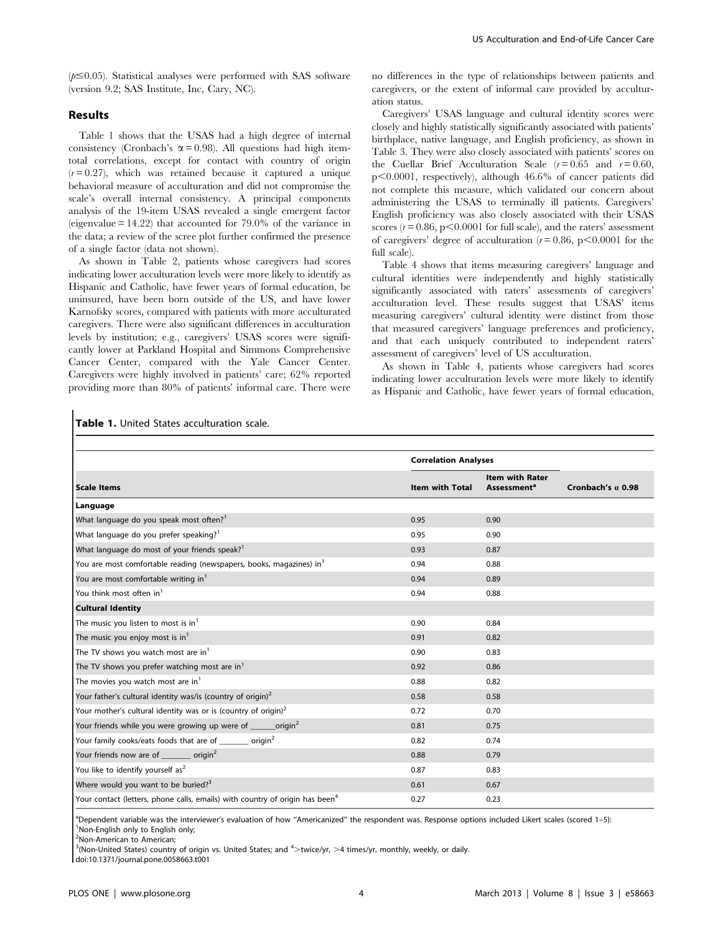$(p \le 0.05)$ . Statistical analyses were performed with SAS software (version 9.2; SAS Institute, Inc, Cary, NC).

# Results

Table 1 shows that the USAS had a high degree of internal consistency (Cronbach's  $\alpha$  = 0.98). All questions had high itemtotal correlations, except for contact with country of origin  $(r=0.27)$ , which was retained because it captured a unique behavioral measure of acculturation and did not compromise the scale's overall internal consistency. A principal components analysis of the 19-item USAS revealed a single emergent factor (eigenvalue  $= 14.22$ ) that accounted for 79.0% of the variance in the data; a review of the scree plot further confirmed the presence of a single factor (data not shown).

As shown in Table 2, patients whose caregivers had scores indicating lower acculturation levels were more likely to identify as Hispanic and Catholic, have fewer years of formal education, be uninsured, have been born outside of the US, and have lower Karnofsky scores, compared with patients with more acculturated caregivers. There were also significant differences in acculturation levels by institution; e.g., caregivers' USAS scores were significantly lower at Parkland Hospital and Simmons Comprehensive Cancer Center, compared with the Yale Cancer Center. Caregivers were highly involved in patients' care; 62% reported providing more than 80% of patients' informal care. There were no differences in the type of relationships between patients and caregivers, or the extent of informal care provided by acculturation status.

Caregivers' USAS language and cultural identity scores were closely and highly statistically significantly associated with patients' birthplace, native language, and English proficiency, as shown in Table 3. They were also closely associated with patients' scores on the Cuellar Brief Acculturation Scale  $(r=0.65$  and  $r=0.60$ ,  $p<0.0001$ , respectively), although 46.6% of cancer patients did not complete this measure, which validated our concern about administering the USAS to terminally ill patients. Caregivers' English proficiency was also closely associated with their USAS scores ( $r = 0.86$ ,  $p < 0.0001$  for full scale), and the raters' assessment of caregivers' degree of acculturation  $(r = 0.86, p \le 0.0001$  for the full scale).

Table 4 shows that items measuring caregivers' language and cultural identities were independently and highly statistically significantly associated with raters' assessments of caregivers' acculturation level. These results suggest that USAS' items measuring caregivers' cultural identity were distinct from those that measured caregivers' language preferences and proficiency, and that each uniquely contributed to independent raters' assessment of caregivers' level of US acculturation.

As shown in Table 4, patients whose caregivers had scores indicating lower acculturation levels were more likely to identify as Hispanic and Catholic, have fewer years of formal education,

# Table 1. United States acculturation scale.

|                                                                                          | <b>Correlation Analyses</b> |                                                         |                          |  |
|------------------------------------------------------------------------------------------|-----------------------------|---------------------------------------------------------|--------------------------|--|
| <b>Scale Items</b>                                                                       | <b>Item with Total</b>      | <b>Item with Rater</b><br><b>Assessment<sup>a</sup></b> | Cronbach's $\alpha$ 0.98 |  |
| Language                                                                                 |                             |                                                         |                          |  |
| What language do you speak most often? <sup>1</sup>                                      | 0.95                        | 0.90                                                    |                          |  |
| What language do you prefer speaking? <sup>1</sup>                                       | 0.95                        | 0.90                                                    |                          |  |
| What language do most of your friends speak? <sup>1</sup>                                | 0.93                        | 0.87                                                    |                          |  |
| You are most comfortable reading (newspapers, books, magazines) in <sup>1</sup>          | 0.94                        | 0.88                                                    |                          |  |
| You are most comfortable writing in <sup>1</sup>                                         | 0.94                        | 0.89                                                    |                          |  |
| You think most often in <sup>1</sup>                                                     | 0.94                        | 0.88                                                    |                          |  |
| <b>Cultural Identity</b>                                                                 |                             |                                                         |                          |  |
| The music you listen to most is in <sup>1</sup>                                          | 0.90                        | 0.84                                                    |                          |  |
| The music you enjoy most is $in1$                                                        | 0.91                        | 0.82                                                    |                          |  |
| The TV shows you watch most are in <sup>1</sup>                                          | 0.90                        | 0.83                                                    |                          |  |
| The TV shows you prefer watching most are in <sup>1</sup>                                | 0.92                        | 0.86                                                    |                          |  |
| The movies you watch most are in <sup>1</sup>                                            | 0.88                        | 0.82                                                    |                          |  |
| Your father's cultural identity was/is (country of origin) $^2$                          | 0.58                        | 0.58                                                    |                          |  |
| Your mother's cultural identity was or is (country of origin) <sup>2</sup>               | 0.72                        | 0.70                                                    |                          |  |
| Your friends while you were growing up were of _______origin <sup>2</sup>                | 0.81                        | 0.75                                                    |                          |  |
| Your family cooks/eats foods that are of ______ origin <sup>2</sup>                      | 0.82                        | 0.74                                                    |                          |  |
| Your friends now are of _______ origin <sup>2</sup>                                      | 0.88                        | 0.79                                                    |                          |  |
| You like to identify yourself as <sup>2</sup>                                            | 0.87                        | 0.83                                                    |                          |  |
| Where would you want to be buried? <sup>3</sup>                                          | 0.61                        | 0.67                                                    |                          |  |
| Your contact (letters, phone calls, emails) with country of origin has been <sup>4</sup> | 0.27                        | 0.23                                                    |                          |  |

<sup>a</sup>Dependent variable was the interviewer's evaluation of how "Americanized" the respondent was. Response options included Likert scales (scored 1–5):<br><sup>1</sup>Non-English only to English only: <sup>1</sup>Non-English only to English only;

2 Non-American to American;

 $3$ (Non-United States) country of origin vs. United States; and  $4$ >twice/yr, >4 times/yr, monthly, weekly, or daily.

doi:10.1371/journal.pone.0058663.t001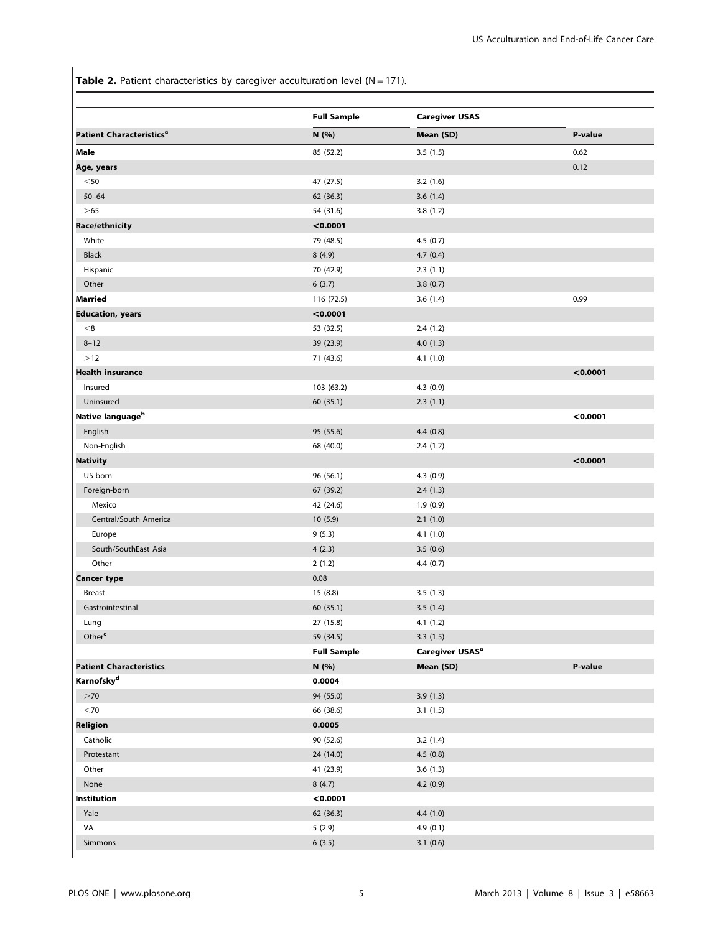Table 2. Patient characteristics by caregiver acculturation level (N = 171).

|                                            | <b>Full Sample</b> | <b>Caregiver USAS</b>       |          |
|--------------------------------------------|--------------------|-----------------------------|----------|
| <b>Patient Characteristics<sup>a</sup></b> | N (%)              | Mean (SD)                   | P-value  |
| Male                                       | 85 (52.2)          | 3.5(1.5)                    | 0.62     |
| Age, years                                 |                    |                             | 0.12     |
| $<$ 50                                     | 47 (27.5)          | 3.2(1.6)                    |          |
| $50 - 64$                                  | 62 (36.3)          | 3.6(1.4)                    |          |
| $>\!65$                                    | 54 (31.6)          | 3.8(1.2)                    |          |
| <b>Race/ethnicity</b>                      | < 0.0001           |                             |          |
| White                                      | 79 (48.5)          | 4.5(0.7)                    |          |
| <b>Black</b>                               | 8(4.9)             | 4.7(0.4)                    |          |
| Hispanic                                   | 70 (42.9)          | 2.3(1.1)                    |          |
| Other                                      | 6(3.7)             | 3.8(0.7)                    |          |
| Married                                    | 116 (72.5)         | 3.6(1.4)                    | 0.99     |
| <b>Education, years</b>                    | < 0.0001           |                             |          |
| < 8                                        | 53 (32.5)          | 2.4(1.2)                    |          |
| $8 - 12$                                   | 39 (23.9)          | 4.0(1.3)                    |          |
| >12                                        | 71 (43.6)          | 4.1(1.0)                    |          |
| <b>Health insurance</b>                    |                    |                             | < 0.0001 |
| Insured                                    | 103 (63.2)         | 4.3(0.9)                    |          |
| Uninsured                                  | 60 (35.1)          | 2.3(1.1)                    |          |
| Native language <sup>b</sup>               |                    |                             | < 0.0001 |
| English                                    | 95 (55.6)          | 4.4(0.8)                    |          |
| Non-English                                | 68 (40.0)          | 2.4(1.2)                    |          |
| <b>Nativity</b>                            |                    |                             | < 0.0001 |
| US-born                                    | 96 (56.1)          | 4.3(0.9)                    |          |
| Foreign-born                               | 67 (39.2)          | 2.4(1.3)                    |          |
| Mexico                                     | 42 (24.6)          | 1.9(0.9)                    |          |
| Central/South America                      | 10(5.9)            | 2.1(1.0)                    |          |
| Europe                                     | 9(5.3)             | 4.1(1.0)                    |          |
| South/SouthEast Asia                       | 4(2.3)             | 3.5(0.6)                    |          |
| Other                                      | 2(1.2)             | 4.4(0.7)                    |          |
| <b>Cancer type</b>                         | 0.08               |                             |          |
| <b>Breast</b>                              | 15(8.8)            | 3.5(1.3)                    |          |
| Gastrointestinal                           | 60 (35.1)          | 3.5(1.4)                    |          |
| Lung                                       | 27 (15.8)          | 4.1 (1.2)                   |          |
| Other $\mathbf c$                          | 59 (34.5)          | 3.3(1.5)                    |          |
|                                            | <b>Full Sample</b> | Caregiver USAS <sup>a</sup> |          |
| <b>Patient Characteristics</b>             | N (%)              | Mean (SD)                   | P-value  |
| Karnofsky <sup>d</sup>                     | 0.0004             |                             |          |
| $>\!\!70$                                  | 94 (55.0)          | 3.9(1.3)                    |          |
| $<$ 70 $\,$                                | 66 (38.6)          | 3.1(1.5)                    |          |
| Religion                                   | 0.0005             |                             |          |
| Catholic                                   | 90 (52.6)          | 3.2(1.4)                    |          |
| Protestant                                 | 24 (14.0)          | 4.5(0.8)                    |          |
| Other                                      | 41 (23.9)          | 3.6(1.3)                    |          |
| None                                       | 8(4.7)             | 4.2(0.9)                    |          |
| Institution                                | < 0.0001           |                             |          |
| Yale                                       | 62 (36.3)          | 4.4(1.0)                    |          |
| VA                                         | 5(2.9)             | 4.9(0.1)                    |          |
| Simmons                                    | 6(3.5)             | 3.1(0.6)                    |          |
|                                            |                    |                             |          |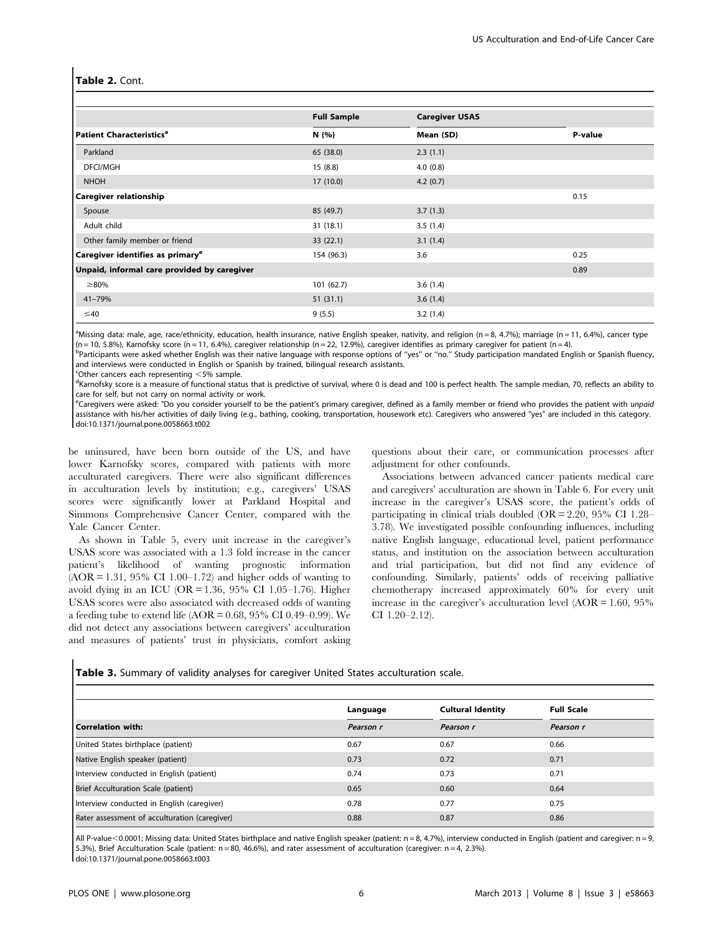#### Table 2. Cont.

|                                              | <b>Full Sample</b> | <b>Caregiver USAS</b> |         |
|----------------------------------------------|--------------------|-----------------------|---------|
| Patient Characteristics <sup>a</sup>         | N(%)               | Mean (SD)             | P-value |
| Parkland                                     | 65 (38.0)          | 2.3(1.1)              |         |
| DFCI/MGH                                     | 15(8.8)            | 4.0(0.8)              |         |
| <b>NHOH</b>                                  | 17(10.0)           | 4.2(0.7)              |         |
| <b>Caregiver relationship</b>                |                    |                       | 0.15    |
| Spouse                                       | 85 (49.7)          | 3.7(1.3)              |         |
| Adult child                                  | 31(18.1)           | 3.5(1.4)              |         |
| Other family member or friend                | 33(22.1)           | 3.1(1.4)              |         |
| Caregiver identifies as primary <sup>e</sup> | 154 (96.3)         | 3.6                   | 0.25    |
| Unpaid, informal care provided by caregiver  |                    |                       | 0.89    |
| $\geq$ 80%                                   | 101(62.7)          | 3.6(1.4)              |         |
| 41-79%                                       | 51(31.1)           | 3.6(1.4)              |         |
| ≤40                                          | 9(5.5)             | 3.2(1.4)              |         |

<sup>a</sup>Missing data: male, age, race/ethnicity, education, health insurance, native English speaker, nativity, and religion (n = 8, 4.7%); marriage (n = 11, 6.4%), cancer type  $(n = 10, 5.8\%)$ , Karnofsky score  $(n = 11, 6.4\%)$ , caregiver relationship  $(n = 22, 12.9\%)$ , caregiver identifies as primary caregiver for patient  $(n = 4)$ .

b<br>Participants were asked whether English was their native language with response options of "yes" or "no." Study participation mandated English or Spanish fluency, and interviews were conducted in English or Spanish by trained, bilingual research assistants.

Cother cancers each representing  $\leq$ 5% sample.

<sup>d</sup>Karnofsky score is a measure of functional status that is predictive of survival, where 0 is dead and 100 is perfect health. The sample median, 70, reflects an ability to care for self, but not carry on normal activity or work.

<sup>e</sup>Caregivers were asked: "Do you consider yourself to be the patient's primary caregiver, defined as a family member or friend who provides the patient with unpaid assistance with his/her activities of daily living (e.g., bathing, cooking, transportation, housework etc). Caregivers who answered "yes" are included in this category. doi:10.1371/journal.pone.0058663.t002

be uninsured, have been born outside of the US, and have lower Karnofsky scores, compared with patients with more acculturated caregivers. There were also significant differences in acculturation levels by institution; e.g., caregivers' USAS scores were significantly lower at Parkland Hospital and Simmons Comprehensive Cancer Center, compared with the Yale Cancer Center.

As shown in Table 5, every unit increase in the caregiver's USAS score was associated with a 1.3 fold increase in the cancer patient's likelihood of wanting prognostic information  $(AOR = 1.31, 95\% \text{ CI } 1.00-1.72)$  and higher odds of wanting to avoid dying in an ICU (OR = 1.36, 95% CI 1.05–1.76). Higher USAS scores were also associated with decreased odds of wanting a feeding tube to extend life  $(AOR = 0.68, 95\% \text{ CI } 0.49{\text{-}}0.99)$ . We did not detect any associations between caregivers' acculturation and measures of patients' trust in physicians, comfort asking questions about their care, or communication processes after adjustment for other confounds.

Associations between advanced cancer patients medical care and caregivers' acculturation are shown in Table 6. For every unit increase in the caregiver's USAS score, the patient's odds of participating in clinical trials doubled (OR = 2.20, 95% CI 1.28– 3.78). We investigated possible confounding influences, including native English language, educational level, patient performance status, and institution on the association between acculturation and trial participation, but did not find any evidence of confounding. Similarly, patients' odds of receiving palliative chemotherapy increased approximately 60% for every unit increase in the caregiver's acculturation level (AOR = 1.60, 95% CI 1.20–2.12).

#### Table 3. Summary of validity analyses for caregiver United States acculturation scale.

|                                               | Language  | <b>Cultural Identity</b> | <b>Full Scale</b> |  |
|-----------------------------------------------|-----------|--------------------------|-------------------|--|
| Correlation with:                             | Pearson r | Pearson r                | Pearson r         |  |
| United States birthplace (patient)            | 0.67      | 0.67                     | 0.66              |  |
| Native English speaker (patient)              | 0.73      | 0.72                     | 0.71              |  |
| Interview conducted in English (patient)      | 0.74      | 0.73                     | 0.71              |  |
| Brief Acculturation Scale (patient)           | 0.65      | 0.60                     | 0.64              |  |
| Interview conducted in English (caregiver)    | 0.78      | 0.77                     | 0.75              |  |
| Rater assessment of acculturation (caregiver) | 0.88      | 0.87                     | 0.86              |  |
|                                               |           |                          |                   |  |

All P-value<0.0001; Missing data: United States birthplace and native English speaker (patient: n = 8, 4.7%), interview conducted in English (patient and caregiver: n = 9, 5.3%), Brief Acculturation Scale (patient: n = 80, 46.6%), and rater assessment of acculturation (caregiver: n = 4, 2.3%). doi:10.1371/journal.pone.0058663.t003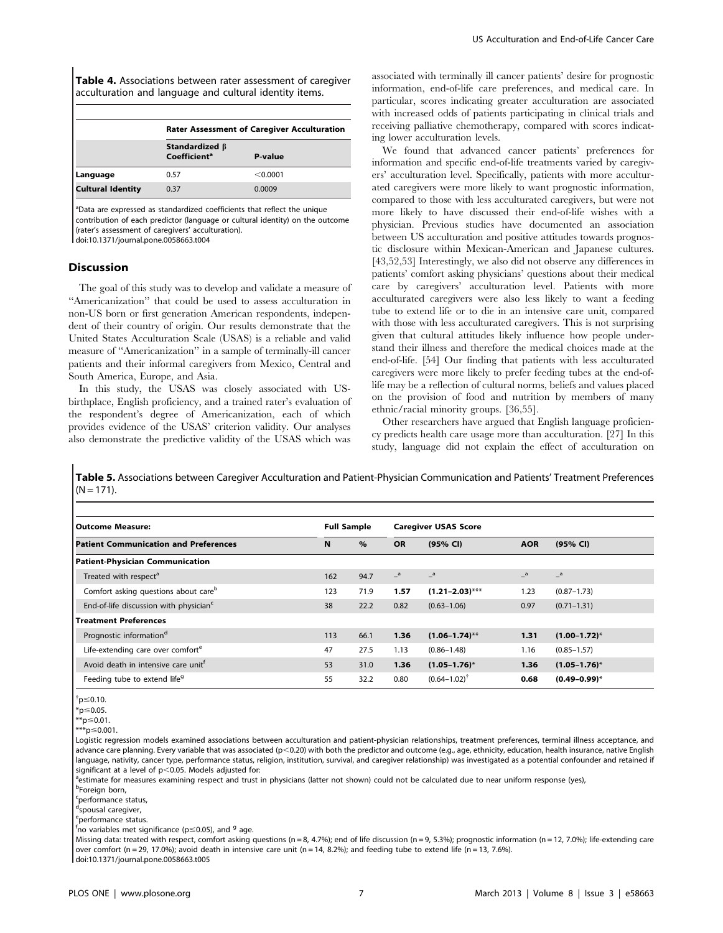Table 4. Associations between rater assessment of caregiver acculturation and language and cultural identity items.

|                          | <b>Rater Assessment of Caregiver Acculturation</b> |          |  |  |  |
|--------------------------|----------------------------------------------------|----------|--|--|--|
|                          | Standardized $\beta$<br>Coefficient <sup>a</sup>   | P-value  |  |  |  |
| Language                 | 0.57                                               | < 0.0001 |  |  |  |
| <b>Cultural Identity</b> | 0.37                                               | 0.0009   |  |  |  |

<sup>a</sup>Data are expressed as standardized coefficients that reflect the unique contribution of each predictor (language or cultural identity) on the outcome (rater's assessment of caregivers' acculturation). doi:10.1371/journal.pone.0058663.t004

#### **Discussion**

The goal of this study was to develop and validate a measure of ''Americanization'' that could be used to assess acculturation in non-US born or first generation American respondents, independent of their country of origin. Our results demonstrate that the United States Acculturation Scale (USAS) is a reliable and valid measure of ''Americanization'' in a sample of terminally-ill cancer patients and their informal caregivers from Mexico, Central and South America, Europe, and Asia.

In this study, the USAS was closely associated with USbirthplace, English proficiency, and a trained rater's evaluation of the respondent's degree of Americanization, each of which provides evidence of the USAS' criterion validity. Our analyses also demonstrate the predictive validity of the USAS which was associated with terminally ill cancer patients' desire for prognostic information, end-of-life care preferences, and medical care. In particular, scores indicating greater acculturation are associated with increased odds of patients participating in clinical trials and receiving palliative chemotherapy, compared with scores indicating lower acculturation levels.

We found that advanced cancer patients' preferences for information and specific end-of-life treatments varied by caregivers' acculturation level. Specifically, patients with more acculturated caregivers were more likely to want prognostic information, compared to those with less acculturated caregivers, but were not more likely to have discussed their end-of-life wishes with a physician. Previous studies have documented an association between US acculturation and positive attitudes towards prognostic disclosure within Mexican-American and Japanese cultures. [43,52,53] Interestingly, we also did not observe any differences in patients' comfort asking physicians' questions about their medical care by caregivers' acculturation level. Patients with more acculturated caregivers were also less likely to want a feeding tube to extend life or to die in an intensive care unit, compared with those with less acculturated caregivers. This is not surprising given that cultural attitudes likely influence how people understand their illness and therefore the medical choices made at the end-of-life. [54] Our finding that patients with less acculturated caregivers were more likely to prefer feeding tubes at the end-oflife may be a reflection of cultural norms, beliefs and values placed on the provision of food and nutrition by members of many ethnic/racial minority groups. [36,55].

Other researchers have argued that English language proficiency predicts health care usage more than acculturation. [27] In this study, language did not explain the effect of acculturation on

Table 5. Associations between Caregiver Acculturation and Patient-Physician Communication and Patients' Treatment Preferences  $(N = 171)$ .

| <b>Outcome Measure:</b>                            |     | <b>Full Sample</b> | <b>Caregiver USAS Score</b> |                           |            |                   |
|----------------------------------------------------|-----|--------------------|-----------------------------|---------------------------|------------|-------------------|
| <b>Patient Communication and Preferences</b>       | N   | $\%$               | <b>OR</b>                   | (95% CI)                  | <b>AOR</b> | (95% CI)          |
| <b>Patient-Physician Communication</b>             |     |                    |                             |                           |            |                   |
| Treated with respect <sup>a</sup>                  | 162 | 94.7               | $a^a$                       | $-$ <sup>a</sup>          | a          | $a^a$             |
| Comfort asking questions about care <sup>b</sup>   | 123 | 71.9               | 1.57                        | $(1.21 - 2.03)$ ***       | 1.23       | $(0.87 - 1.73)$   |
| End-of-life discussion with physician <sup>c</sup> | 38  | 22.2               | 0.82                        | $(0.63 - 1.06)$           | 0.97       | $(0.71 - 1.31)$   |
| <b>Treatment Preferences</b>                       |     |                    |                             |                           |            |                   |
| Prognostic information <sup>d</sup>                | 113 | 66.1               | 1.36                        | $(1.06 - 1.74)$ **        | 1.31       | $(1.00 - 1.72)^*$ |
| Life-extending care over comfort <sup>e</sup>      | 47  | 27.5               | 1.13                        | $(0.86 - 1.48)$           | 1.16       | $(0.85 - 1.57)$   |
| Avoid death in intensive care unit <sup>f</sup>    | 53  | 31.0               | 1.36                        | $(1.05 - 1.76)^*$         | 1.36       | $(1.05 - 1.76)^*$ |
| Feeding tube to extend life <sup>9</sup>           | 55  | 32.2               | 0.80                        | $(0.64 - 1.02)^{\dagger}$ | 0.68       | $(0.49 - 0.99)^*$ |

 ${\dagger}_{\mathrm{p}}$   $\leq$  0.10.

 $*$ <sub>p</sub> $\leq$ 0.01

 $***p \leq 0.001$ .

Logistic regression models examined associations between acculturation and patient-physician relationships, treatment preferences, terminal illness acceptance, and advance care planning. Every variable that was associated ( $p$ <0.20) with both the predictor and outcome (e.g., age, ethnicity, education, health insurance, native English language, nativity, cancer type, performance status, religion, institution, survival, and caregiver relationship) was investigated as a potential confounder and retained if significant at a level of  $p<$  0.05. Models adjusted for:

a<br>estimate for measures examining respect and trust in physicians (latter not shown) could not be calculated due to near uniform response (yes), <sup>b</sup>Foreign born,

c performance status,

d<sub>spousal</sub> caregiver,

e performance status.

 $f$ no variables met significance (p $\leq$ 0.05), and <sup>g</sup> age.

Missing data: treated with respect, comfort asking questions (n = 8, 4.7%); end of life discussion (n = 9, 5.3%); prognostic information (n = 12, 7.0%); life-extending care over comfort (n = 29, 17.0%); avoid death in intensive care unit (n = 14, 8.2%); and feeding tube to extend life (n = 13, 7.6%). doi:10.1371/journal.pone.0058663.t005

 $*<sub>D</sub> \le 0.05$ .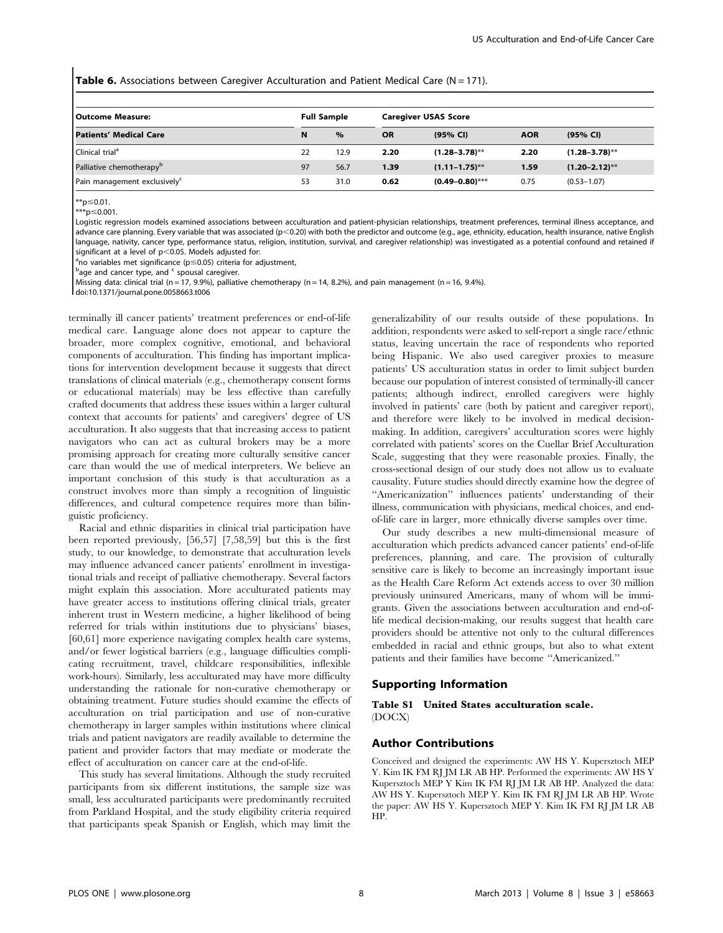**Table 6.** Associations between Caregiver Acculturation and Patient Medical Care ( $N = 171$ ).

| Outcome Measure:                         | <b>Full Sample</b> |      | <b>Caregiver USAS Score</b> |                     |            |                    |
|------------------------------------------|--------------------|------|-----------------------------|---------------------|------------|--------------------|
| <b>Patients' Medical Care</b>            | N                  | %    | <b>OR</b>                   | (95% CI)            | <b>AOR</b> | (95% CI)           |
| Clinical trial <sup>a</sup>              | 22                 | 12.9 | 2.20                        | $(1.28 - 3.78)$ **  | 2.20       | $(1.28 - 3.78)$ ** |
| Palliative chemotherapy <sup>b</sup>     | 97                 | 56.7 | 1.39                        | $(1.11 - 1.75)$ **  | 1.59       | $(1.20 - 2.12)$ ** |
| Pain management exclusively <sup>c</sup> | 53                 | 31.0 | 0.62                        | $(0.49 - 0.80)$ *** | 0.75       | $(0.53 - 1.07)$    |

 $*$ <sub>p</sub> $\leq$ 0.01.

\*\*\*p≤0.001.

Logistic regression models examined associations between acculturation and patient-physician relationships, treatment preferences, terminal illness acceptance, and advance care planning. Every variable that was associated (p<0.20) with both the predictor and outcome (e.g., age, ethnicity, education, health insurance, native English language, nativity, cancer type, performance status, religion, institution, survival, and caregiver relationship) was investigated as a potential confound and retained if significant at a level of  $p<$  0.05. Models adjusted for:

 $n$ o variables met significance (p  $\leq$  0.05) criteria for adjustment,

<sup>b</sup>age and cancer type, and <sup>c</sup> spousal caregiver.

Missing data: clinical trial (n = 17, 9.9%), palliative chemotherapy (n = 14, 8.2%), and pain management (n = 16, 9.4%).

doi:10.1371/journal.pone.0058663.t006

terminally ill cancer patients' treatment preferences or end-of-life medical care. Language alone does not appear to capture the broader, more complex cognitive, emotional, and behavioral components of acculturation. This finding has important implications for intervention development because it suggests that direct translations of clinical materials (e.g., chemotherapy consent forms or educational materials) may be less effective than carefully crafted documents that address these issues within a larger cultural context that accounts for patients' and caregivers' degree of US acculturation. It also suggests that that increasing access to patient navigators who can act as cultural brokers may be a more promising approach for creating more culturally sensitive cancer care than would the use of medical interpreters. We believe an important conclusion of this study is that acculturation as a construct involves more than simply a recognition of linguistic differences, and cultural competence requires more than bilinguistic proficiency.

Racial and ethnic disparities in clinical trial participation have been reported previously, [56,57] [7,58,59] but this is the first study, to our knowledge, to demonstrate that acculturation levels may influence advanced cancer patients' enrollment in investigational trials and receipt of palliative chemotherapy. Several factors might explain this association. More acculturated patients may have greater access to institutions offering clinical trials, greater inherent trust in Western medicine, a higher likelihood of being referred for trials within institutions due to physicians' biases, [60,61] more experience navigating complex health care systems, and/or fewer logistical barriers (e.g., language difficulties complicating recruitment, travel, childcare responsibilities, inflexible work-hours). Similarly, less acculturated may have more difficulty understanding the rationale for non-curative chemotherapy or obtaining treatment. Future studies should examine the effects of acculturation on trial participation and use of non-curative chemotherapy in larger samples within institutions where clinical trials and patient navigators are readily available to determine the patient and provider factors that may mediate or moderate the effect of acculturation on cancer care at the end-of-life.

This study has several limitations. Although the study recruited participants from six different institutions, the sample size was small, less acculturated participants were predominantly recruited from Parkland Hospital, and the study eligibility criteria required that participants speak Spanish or English, which may limit the

generalizability of our results outside of these populations. In addition, respondents were asked to self-report a single race/ethnic status, leaving uncertain the race of respondents who reported being Hispanic. We also used caregiver proxies to measure patients' US acculturation status in order to limit subject burden because our population of interest consisted of terminally-ill cancer patients; although indirect, enrolled caregivers were highly involved in patients' care (both by patient and caregiver report), and therefore were likely to be involved in medical decisionmaking. In addition, caregivers' acculturation scores were highly correlated with patients' scores on the Cuellar Brief Acculturation Scale, suggesting that they were reasonable proxies. Finally, the cross-sectional design of our study does not allow us to evaluate causality. Future studies should directly examine how the degree of ''Americanization'' influences patients' understanding of their illness, communication with physicians, medical choices, and endof-life care in larger, more ethnically diverse samples over time.

Our study describes a new multi-dimensional measure of acculturation which predicts advanced cancer patients' end-of-life preferences, planning, and care. The provision of culturally sensitive care is likely to become an increasingly important issue as the Health Care Reform Act extends access to over 30 million previously uninsured Americans, many of whom will be immigrants. Given the associations between acculturation and end-oflife medical decision-making, our results suggest that health care providers should be attentive not only to the cultural differences embedded in racial and ethnic groups, but also to what extent patients and their families have become ''Americanized.''

# Supporting Information

#### Table S1 United States acculturation scale. (DOCX)

# Author Contributions

Conceived and designed the experiments: AW HS Y. Kupersztoch MEP Y. Kim IK FM RJ JM LR AB HP. Performed the experiments: AW HS Y Kupersztoch MEP Y Kim IK FM RJ JM LR AB HP. Analyzed the data: AW HS Y. Kupersztoch MEP Y. Kim IK FM RJ JM LR AB HP. Wrote the paper: AW HS Y. Kupersztoch MEP Y. Kim IK FM RJ JM LR AB HP.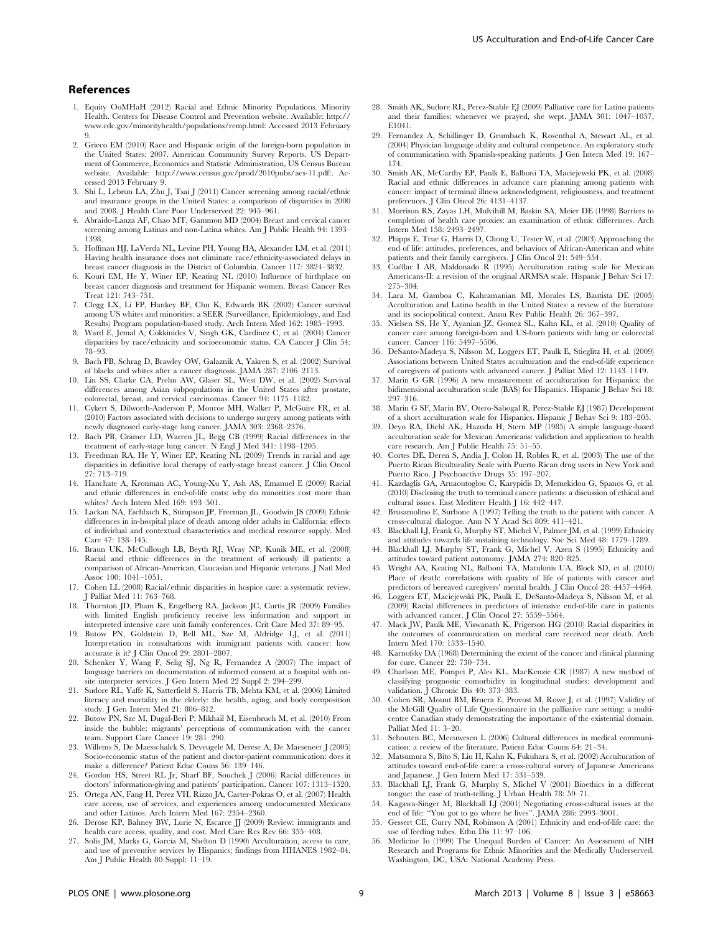# References

- 1. Equity OoMHaH (2012) Racial and Ethnic Minority Populations. Minority Health. Centers for Disease Control and Prevention website. Available: http:// www.cdc.gov/minorityhealth/populations/remp.html: Accessed 2013 February 9.
- 2. Grieco EM (2010) Race and Hispanic origin of the foreign-born population in the United States: 2007. American Community Survey Reports. US Department of Commerce, Economics and Statistic Administration, US Census Bureau website. Available: http://www.census.gov/prod/2010pubs/acs-11.pdf:. Accessed 2013 February 9.
- 3. Shi L, Lebrun LA, Zhu J, Tsai J (2011) Cancer screening among racial/ethnic and insurance groups in the United States: a comparison of disparities in 2000 and 2008. J Health Care Poor Underserved 22: 945–961.
- 4. Abraido-Lanza AF, Chao MT, Gammon MD (2004) Breast and cervical cancer screening among Latinas and non-Latina whites. Am J Public Health 94: 1393– 1398.
- 5. Hoffman HJ, LaVerda NL, Levine PH, Young HA, Alexander LM, et al. (2011) Having health insurance does not eliminate race/ethnicity-associated delays in breast cancer diagnosis in the District of Columbia. Cancer 117: 3824–3832.
- 6. Kouri EM, He Y, Winer EP, Keating NL (2010) Influence of birthplace on breast cancer diagnosis and treatment for Hispanic women. Breast Cancer Res Treat 121: 743–751.
- 7. Clegg LX, Li FP, Hankey BF, Chu K, Edwards BK (2002) Cancer survival among US whites and minorities: a SEER (Surveillance, Epidemiology, and End Results) Program population-based study. Arch Intern Med 162: 1985–1993.
- 8. Ward E, Jemal A, Cokkinides V, Singh GK, Cardinez C, et al. (2004) Cancer disparities by race/ethnicity and socioeconomic status. CA Cancer J Clin 54: 78–93.
- 9. Bach PB, Schrag D, Brawley OW, Galaznik A, Yakren S, et al. (2002) Survival of blacks and whites after a cancer diagnosis. JAMA 287: 2106–2113.
- 10. Lin SS, Clarke CA, Prehn AW, Glaser SL, West DW, et al. (2002) Survival differences among Asian subpopulations in the United States after prostate, colorectal, breast, and cervical carcinomas. Cancer 94: 1175–1182.
- 11. Cykert S, Dilworth-Anderson P, Monroe MH, Walker P, McGuire FR, et al. (2010) Factors associated with decisions to undergo surgery among patients with newly diagnosed early-stage lung cancer. JAMA 303: 2368–2376.
- 12. Bach PB, Cramer LD, Warren JL, Begg CB (1999) Racial differences in the treatment of early-stage lung cancer. N Engl J Med 341: 1198–1205.
- 13. Freedman RA, He Y, Winer EP, Keating NL (2009) Trends in racial and age disparities in definitive local therapy of early-stage breast cancer. J Clin Oncol 27: 713–719.
- 14. Hanchate A, Kronman AC, Young-Xu Y, Ash AS, Emanuel E (2009) Racial and ethnic differences in end-of-life costs: why do minorities cost more than whites? Arch Intern Med 169: 493–501.
- 15. Lackan NA, Eschbach K, Stimpson JP, Freeman JL, Goodwin JS (2009) Ethnic differences in in-hospital place of death among older adults in California: effects of individual and contextual characteristics and medical resource supply. Med Care 47: 138–145.
- 16. Braun UK, McCullough LB, Beyth RJ, Wray NP, Kunik ME, et al. (2008) Racial and ethnic differences in the treatment of seriously ill patients: a comparison of African-American, Caucasian and Hispanic veterans. J Natl Med Assoc 100: 1041–1051.
- 17. Cohen LL (2008) Racial/ethnic disparities in hospice care: a systematic review. J Palliat Med 11: 763–768.
- 18. Thornton JD, Pham K, Engelberg RA, Jackson JC, Curtis JR (2009) Families with limited English proficiency receive less information and support in interpreted intensive care unit family conferences. Crit Care Med 37: 89–95.
- 19. Butow PN, Goldstein D, Bell ML, Sze M, Aldridge LJ, et al. (2011) Interpretation in consultations with immigrant patients with cancer: how accurate is it? J Clin Oncol 29: 2801–2807.
- 20. Schenker Y, Wang F, Selig SJ, Ng R, Fernandez A (2007) The impact of language barriers on documentation of informed consent at a hospital with onsite interpreter services. J Gen Intern Med 22 Suppl 2: 294–299.
- 21. Sudore RL, Yaffe K, Satterfield S, Harris TB, Mehta KM, et al. (2006) Limited literacy and mortality in the elderly: the health, aging, and body composition study. J Gen Intern Med 21: 806–812.
- 22. Butow PN, Sze M, Dugal-Beri P, Mikhail M, Eisenbruch M, et al. (2010) From inside the bubble: migrants' perceptions of communication with the cancer team. Support Care Cancer 19: 281–290.
- 23. Willems S, De Maesschalck S, Deveugele M, Derese A, De Maeseneer J (2005) Socio-economic status of the patient and doctor-patient communication: does it make a difference? Patient Educ Couns 56: 139–146.
- 24. Gordon HS, Street RL Jr, Sharf BF, Souchek J (2006) Racial differences in doctors' information-giving and patients' participation. Cancer 107: 1313–1320.
- 25. Ortega AN, Fang H, Perez VH, Rizzo JA, Carter-Pokras O, et al. (2007) Health care access, use of services, and experiences among undocumented Mexicans and other Latinos. Arch Intern Med 167: 2354–2360.
- 26. Derose KP, Bahney BW, Lurie N, Escarce JJ (2009) Review: immigrants and health care access, quality, and cost. Med Care Res Rev 66: 355–408.
- 27. Solis JM, Marks G, Garcia M, Shelton D (1990) Acculturation, access to care, and use of preventive services by Hispanics: findings from HHANES 1982–84. Am J Public Health 80 Suppl: 11–19.
- 28. Smith AK, Sudore RL, Perez-Stable EJ (2009) Palliative care for Latino patients and their families: whenever we prayed, she wept. JAMA 301: 1047–1057, E1041.
- 29. Fernandez A, Schillinger D, Grumbach K, Rosenthal A, Stewart AL, et al. (2004) Physician language ability and cultural competence. An exploratory study of communication with Spanish-speaking patients. J Gen Intern Med 19: 167– 174.
- 30. Smith AK, McCarthy EP, Paulk E, Balboni TA, Maciejewski PK, et al. (2008) Racial and ethnic differences in advance care planning among patients with cancer: impact of terminal illness acknowledgment, religiousness, and treatment preferences. J Clin Oncol 26: 4131–4137.
- 31. Morrison RS, Zayas LH, Mulvihill M, Baskin SA, Meier DE (1998) Barriers to completion of health care proxies: an examination of ethnic differences. Arch Intern Med 158: 2493–2497.
- 32. Phipps E, True G, Harris D, Chong U, Tester W, et al. (2003) Approaching the end of life: attitudes, preferences, and behaviors of African-American and white patients and their family caregivers. J Clin Oncol 21: 549–554.
- 33. Cuéllar I AB, Maldonado R (1995) Acculturation rating scale for Mexican Americans-II: a revision of the original ARMSA scale. Hispanic J Behav Sci 17: 275–304.
- 34. Lara M, Gamboa C, Kahramanian MI, Morales LS, Bautista DE (2005) Acculturation and Latino health in the United States: a review of the literature and its sociopolitical context. Annu Rev Public Health 26: 367–397.
- 35. Nielsen SS, He Y, Ayanian JZ, Gomez SL, Kahn KL, et al. (2010) Quality of cancer care among foreign-born and US-born patients with lung or colorectal cancer. Cancer 116: 5497–5506.
- 36. DeSanto-Madeya S, Nilsson M, Loggers ET, Paulk E, Stieglitz H, et al. (2009) Associations between United States acculturation and the end-of-life experience of caregivers of patients with advanced cancer. J Palliat Med 12: 1143–1149.
- 37. Marin G GR (1996) A new measurement of acculturation for Hispanics: the bidimensional acculturation scale (BAS) for Hispanics. Hispanic J Behav Sci 18: 297–316.
- 38. Marin G SF, Marin BV, Otero-Sabogal R, Perez-Stable EJ (1987) Development of a short acculturation scale for Hispanics. Hispanic J Behav Sci 9: 183–205.
- 39. Deyo RA, Diehl AK, Hazuda H, Stern MP (1985) A simple language-based acculturation scale for Mexican Americans: validation and application to health care research. Am J Public Health 75: 51–55.
- 40. Cortes DE, Deren S, Andia J, Colon H, Robles R, et al. (2003) The use of the Puerto Rican Biculturality Scale with Puerto Rican drug users in New York and Puerto Rico. J Psychoactive Drugs 35: 197–207.
- Kazdaglis GA, Arnaoutoglou C, Karypidis D, Memekidou G, Spanos G, et al. (2010) Disclosing the truth to terminal cancer patients: a discussion of ethical and cultural issues. East Mediterr Health J 16: 442–447.
- 42. Brusamolino E, Surbone A (1997) Telling the truth to the patient with cancer. A cross-cultural dialogue. Ann N Y Acad Sci 809: 411–421.
- 43. Blackhall LJ, Frank G, Murphy ST, Michel V, Palmer JM, et al. (1999) Ethnicity
- and attitudes towards life sustaining technology. Soc Sci Med 48: 1779–1789. 44. Blackhall LJ, Murphy ST, Frank G, Michel V, Azen S (1995) Ethnicity and attitudes toward patient autonomy. JAMA 274: 820–825.
- 45. Wright AA, Keating NL, Balboni TA, Matulonis UA, Block SD, et al. (2010) Place of death: correlations with quality of life of patients with cancer and predictors of bereaved caregivers' mental health. J Clin Oncol 28: 4457–4464.
- 46. Loggers ET, Maciejewski PK, Paulk E, DeSanto-Madeya S, Nilsson M, et al. (2009) Racial differences in predictors of intensive end-of-life care in patients with advanced cancer. J Clin Oncol 27: 5559–5564.
- 47. Mack JW, Paulk ME, Viswanath K, Prigerson HG (2010) Racial disparities in the outcomes of communication on medical care received near death. Arch Intern Med 170: 1533–1540.
- 48. Karnofsky DA (1968) Determining the extent of the cancer and clinical planning for cure. Cancer 22: 730–734.
- 49. Charlson ME, Pompei P, Ales KL, MacKenzie CR (1987) A new method of classifying prognostic comorbidity in longitudinal studies: development and validation. J Chronic Dis 40: 373–383.
- 50. Cohen SR, Mount BM, Bruera E, Provost M, Rowe J, et al. (1997) Validity of the McGill Quality of Life Questionnaire in the palliative care setting: a multicentre Canadian study demonstrating the importance of the existential domain. Palliat Med 11: 3–20.
- 51. Schouten BC, Meeuwesen L (2006) Cultural differences in medical communication: a review of the literature. Patient Educ Couns 64: 21–34.
- 52. Matsumura S, Bito S, Liu H, Kahn K, Fukuhara S, et al. (2002) Acculturation of attitudes toward end-of-life care: a cross-cultural survey of Japanese Americans and Japanese. J Gen Intern Med 17: 531–539.
- 53. Blackhall LJ, Frank G, Murphy S, Michel V (2001) Bioethics in a different tongue: the case of truth-telling. J Urban Health 78: 59–71.
- 54. Kagawa-Singer M, Blackhall LJ (2001) Negotiating cross-cultural issues at the end of life: ''You got to go where he lives''. JAMA 286: 2993–3001.
- 55. Gessert CE, Curry NM, Robinson A (2001) Ethnicity and end-of-life care: the use of feeding tubes. Ethn Dis 11: 97–106.
- 56. Medicine Io (1999) The Unequal Burden of Cancer: An Assessment of NIH Research and Programs for Ethnic Minorities and the Medically Underserved. Washington, DC, USA: National Academy Press.